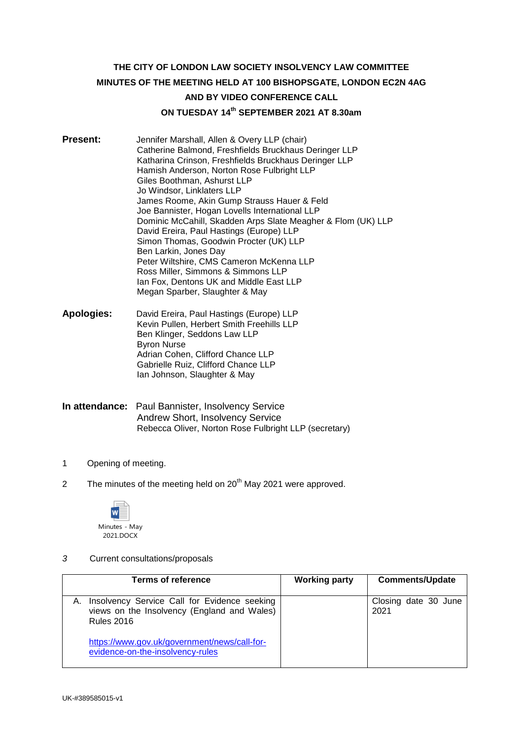# **THE CITY OF LONDON LAW SOCIETY INSOLVENCY LAW COMMITTEE MINUTES OF THE MEETING HELD AT 100 BISHOPSGATE, LONDON EC2N 4AG AND BY VIDEO CONFERENCE CALL ON TUESDAY 14th SEPTEMBER 2021 AT 8.30am**

- **Present:** Jennifer Marshall, Allen & Overy LLP (chair) Catherine Balmond, Freshfields Bruckhaus Deringer LLP Katharina Crinson, Freshfields Bruckhaus Deringer LLP Hamish Anderson, Norton Rose Fulbright LLP Giles Boothman, Ashurst LLP Jo Windsor, Linklaters LLP James Roome, Akin Gump Strauss Hauer & Feld Joe Bannister, Hogan Lovells International LLP Dominic McCahill, Skadden Arps Slate Meagher & Flom (UK) LLP David Ereira, Paul Hastings (Europe) LLP Simon Thomas, Goodwin Procter (UK) LLP Ben Larkin, Jones Day Peter Wiltshire, CMS Cameron McKenna LLP Ross Miller, Simmons & Simmons LLP Ian Fox, Dentons UK and Middle East LLP Megan Sparber, Slaughter & May
- **Apologies:** David Ereira, Paul Hastings (Europe) LLP Kevin Pullen, Herbert Smith Freehills LLP Ben Klinger, Seddons Law LLP Byron Nurse Adrian Cohen, Clifford Chance LLP Gabrielle Ruiz, Clifford Chance LLP Ian Johnson, Slaughter & May
- **In attendance:** Paul Bannister, Insolvency Service Andrew Short, Insolvency Service Rebecca Oliver, Norton Rose Fulbright LLP (secretary)
- 1 Opening of meeting.
- 2 The minutes of the meeting held on  $20<sup>th</sup>$  May 2021 were approved.



*3* Current consultations/proposals

| <b>Terms of reference</b>                                                                                        | <b>Working party</b> | <b>Comments/Update</b>       |
|------------------------------------------------------------------------------------------------------------------|----------------------|------------------------------|
|                                                                                                                  |                      |                              |
| Insolvency Service Call for Evidence seeking<br>views on the Insolvency (England and Wales)<br><b>Rules 2016</b> |                      | Closing date 30 June<br>2021 |
| https://www.gov.uk/government/news/call-for-<br>evidence-on-the-insolvency-rules                                 |                      |                              |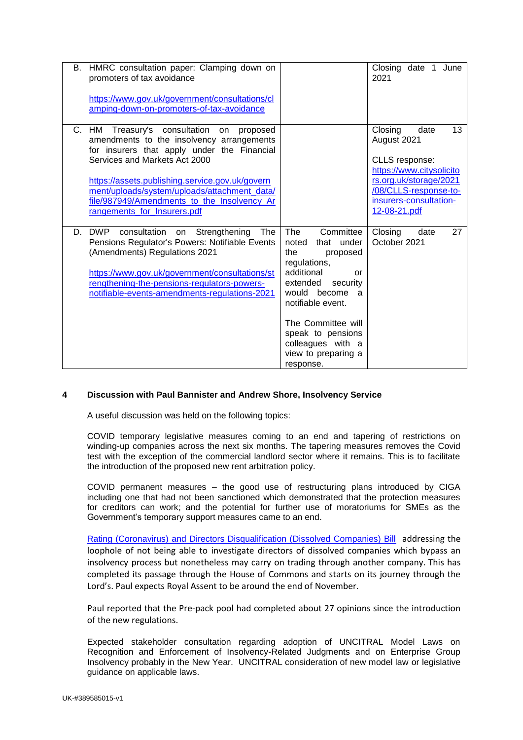|    | B. HMRC consultation paper: Clamping down on<br>promoters of tax avoidance<br>https://www.gov.uk/government/consultations/cl<br>amping-down-on-promoters-of-tax-avoidance                                                                                                                                                                                     |                                                                                                                                                                                                                                                                      | Closing date 1<br>June<br>2021                                                                                                                                                  |
|----|---------------------------------------------------------------------------------------------------------------------------------------------------------------------------------------------------------------------------------------------------------------------------------------------------------------------------------------------------------------|----------------------------------------------------------------------------------------------------------------------------------------------------------------------------------------------------------------------------------------------------------------------|---------------------------------------------------------------------------------------------------------------------------------------------------------------------------------|
|    | C. HM Treasury's consultation<br>on<br>proposed<br>amendments to the insolvency arrangements<br>for insurers that apply under the Financial<br>Services and Markets Act 2000<br>https://assets.publishing.service.gov.uk/govern<br>ment/uploads/system/uploads/attachment_data/<br>file/987949/Amendments_to_the_Insolvency_Ar<br>rangements_for_Insurers.pdf |                                                                                                                                                                                                                                                                      | 13<br>Closing<br>date<br>August 2021<br>CLLS response:<br>https://www.citysolicito<br>rs.org.uk/storage/2021<br>/08/CLLS-response-to-<br>insurers-consultation-<br>12-08-21.pdf |
| D. | <b>DWP</b><br>consultation<br>Strengthening<br>The<br>on<br>Pensions Regulator's Powers: Notifiable Events<br>(Amendments) Regulations 2021<br>https://www.gov.uk/government/consultations/st<br>rengthening-the-pensions-regulators-powers-<br>notifiable-events-amendments-regulations-2021                                                                 | The<br>Committee<br>noted<br>that under<br>the<br>proposed<br>regulations,<br>additional<br>or<br>extended<br>security<br>would become<br>a<br>notifiable event.<br>The Committee will<br>speak to pensions<br>colleagues with a<br>view to preparing a<br>response. | 27<br>Closing<br>date<br>October 2021                                                                                                                                           |

### **4 Discussion with Paul Bannister and Andrew Shore, Insolvency Service**

A useful discussion was held on the following topics:

COVID temporary legislative measures coming to an end and tapering of restrictions on winding-up companies across the next six months. The tapering measures removes the Covid test with the exception of the commercial landlord sector where it remains. This is to facilitate the introduction of the proposed new rent arbitration policy.

COVID permanent measures – the good use of restructuring plans introduced by CIGA including one that had not been sanctioned which demonstrated that the protection measures for creditors can work; and the potential for further use of moratoriums for SMEs as the Government's temporary support measures came to an end.

[Rating \(Coronavirus\) and Directors Disqualification \(Dissolved Companies\) Bill](https://bills.parliament.uk/bills/2861/publications) addressing the loophole of not being able to investigate directors of dissolved companies which bypass an insolvency process but nonetheless may carry on trading through another company. This has completed its passage through the House of Commons and starts on its journey through the Lord's. Paul expects Royal Assent to be around the end of November.

Paul reported that the Pre-pack pool had completed about 27 opinions since the introduction of the new regulations.

Expected stakeholder consultation regarding adoption of UNCITRAL Model Laws on Recognition and Enforcement of Insolvency-Related Judgments and on Enterprise Group Insolvency probably in the New Year. UNCITRAL consideration of new model law or legislative guidance on applicable laws.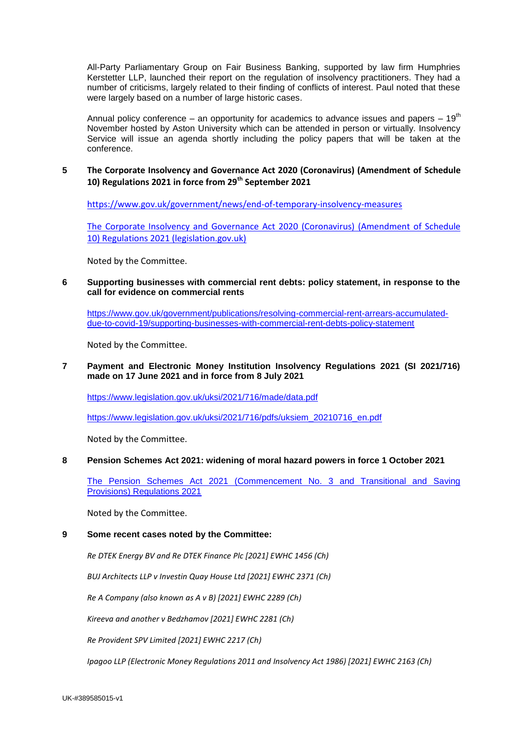All-Party Parliamentary Group on Fair Business Banking, supported by law firm Humphries Kerstetter LLP, launched their report on the regulation of insolvency practitioners. They had a number of criticisms, largely related to their finding of conflicts of interest. Paul noted that these were largely based on a number of large historic cases.

Annual policy conference – an opportunity for academics to advance issues and papers –  $19<sup>th</sup>$ November hosted by Aston University which can be attended in person or virtually. Insolvency Service will issue an agenda shortly including the policy papers that will be taken at the conference.

#### **5 The Corporate Insolvency and Governance Act 2020 (Coronavirus) (Amendment of Schedule 10) Regulations 2021 in force from 29th September 2021**

<https://www.gov.uk/government/news/end-of-temporary-insolvency-measures>

[The Corporate Insolvency and Governance Act 2020 \(Coronavirus\) \(Amendment of Schedule](https://www.legislation.gov.uk/uksi/2021/1027/pdfs/uksi_20211027_en.pdf)  10) Regulations [2021 \(legislation.gov.uk\)](https://www.legislation.gov.uk/uksi/2021/1027/pdfs/uksi_20211027_en.pdf)

Noted by the Committee.

**6 Supporting businesses with commercial rent debts: policy statement, in response to the call for evidence on commercial rents** 

[https://www.gov.uk/government/publications/resolving-commercial-rent-arrears-accumulated](https://www.gov.uk/government/publications/resolving-commercial-rent-arrears-accumulated-due-to-covid-19/supporting-businesses-with-commercial-rent-debts-policy-statement)[due-to-covid-19/supporting-businesses-with-commercial-rent-debts-policy-statement](https://www.gov.uk/government/publications/resolving-commercial-rent-arrears-accumulated-due-to-covid-19/supporting-businesses-with-commercial-rent-debts-policy-statement)

Noted by the Committee.

### **7 Payment and Electronic Money Institution Insolvency Regulations 2021 (SI 2021/716) made on 17 June 2021 and in force from 8 July 2021**

<https://www.legislation.gov.uk/uksi/2021/716/made/data.pdf>

[https://www.legislation.gov.uk/uksi/2021/716/pdfs/uksiem\\_20210716\\_en.pdf](https://www.legislation.gov.uk/uksi/2021/716/pdfs/uksiem_20210716_en.pdf)

Noted by the Committee.

### **8 Pension Schemes Act 2021: widening of moral hazard powers in force 1 October 2021**

[The Pension Schemes Act 2021 \(Commencement No. 3 and Transitional and Saving](https://www.legislation.gov.uk/uksi/2021/950/resources)  [Provisions\) Regulations 2021](https://www.legislation.gov.uk/uksi/2021/950/resources)

Noted by the Committee.

#### **9 Some recent cases noted by the Committee:**

*Re DTEK Energy BV and Re DTEK Finance Plc [2021] EWHC 1456 (Ch)*

*BUJ Architects LLP v Investin Quay House Ltd [2021] EWHC 2371 (Ch)*

*Re A Company (also known as A v B) [2021] EWHC 2289 (Ch)*

*Kireeva and another v Bedzhamov [2021] EWHC 2281 (Ch)* 

*Re Provident SPV Limited [2021] EWHC 2217 (Ch)*

*Ipagoo LLP (Electronic Money Regulations 2011 and Insolvency Act 1986) [2021] EWHC 2163 (Ch)*